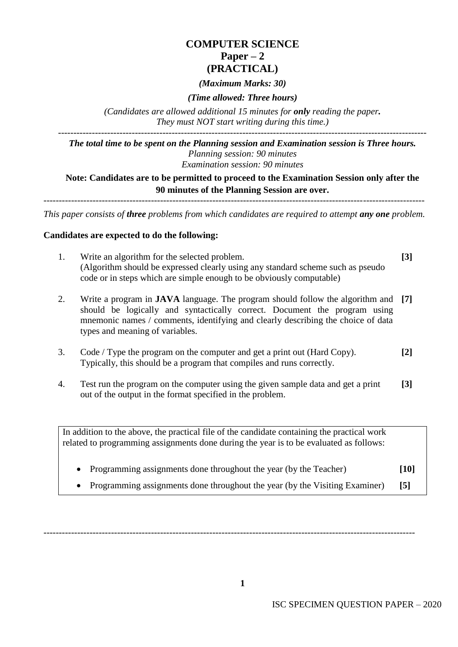# **COMPUTER SCIENCE**  $Paper - 2$ **(PRACTICAL)**

# *(Maximum Marks: 30)*

# *(Time allowed: Three hours)*

*(Candidates are allowed additional 15 minutes for only reading the paper. They must NOT start writing during this time.)*

------------------------------------------------------------------------------------------------------------------------ *The total time to be spent on the Planning session and Examination session is Three hours. Planning session: 90 minutes Examination session: 90 minutes*

**Note: Candidates are to be permitted to proceed to the Examination Session only after the 90 minutes of the Planning Session are over.**

---------------------------------------------------------------------------------------------------------------------------- *This paper consists of three problems from which candidates are required to attempt any one problem.*

# **Candidates are expected to do the following:**

- 1. Write an algorithm for the selected problem. (Algorithm should be expressed clearly using any standard scheme such as pseudo code or in steps which are simple enough to be obviously computable) **[3]**
- 2. Write a program in **JAVA** language. The program should follow the algorithm and **[7]** should be logically and syntactically correct. Document the program using mnemonic names / comments, identifying and clearly describing the choice of data types and meaning of variables.
- 3. Code / Type the program on the computer and get a print out (Hard Copy). Typically, this should be a program that compiles and runs correctly. **[2]**
- 4. Test run the program on the computer using the given sample data and get a print out of the output in the format specified in the problem. **[3]**

In addition to the above, the practical file of the candidate containing the practical work related to programming assignments done during the year is to be evaluated as follows:

• Programming assignments done throughout the year (by the Teacher) **[10]** • Programming assignments done throughout the year (by the Visiting Examiner) **[5]**

-------------------------------------------------------------------------------------------------------------------------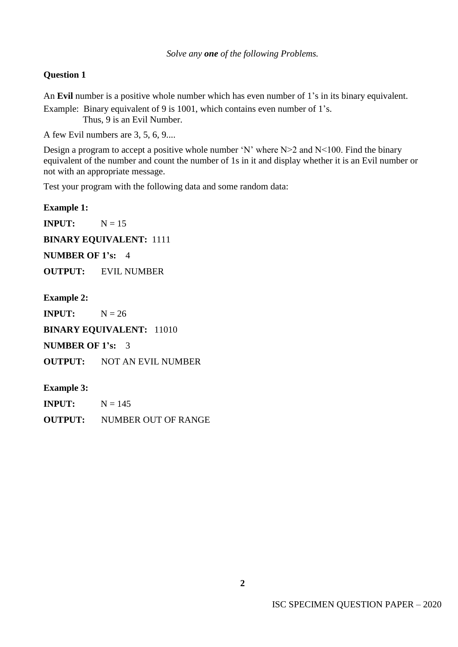# **Question 1**

An **Evil** number is a positive whole number which has even number of 1's in its binary equivalent.

Example: Binary equivalent of 9 is 1001, which contains even number of 1's. Thus, 9 is an Evil Number.

A few Evil numbers are 3, 5, 6, 9....

Design a program to accept a positive whole number 'N' where  $N>2$  and  $N<100$ . Find the binary equivalent of the number and count the number of 1s in it and display whether it is an Evil number or not with an appropriate message.

Test your program with the following data and some random data:

**Example 1: INPUT:**  $N = 15$ **BINARY EQUIVALENT:** 1111 **NUMBER OF 1's:** 4 **OUTPUT:** EVIL NUMBER **Example 2: INPUT:**  $N = 26$ 

**BINARY EQUIVALENT: 11010** 

**NUMBER OF 1's:** 3

**OUTPUT:** NOT AN EVIL NUMBER

**Example 3:**

**INPUT:**  $N = 145$ **OUTPUT:** NUMBER OUT OF RANGE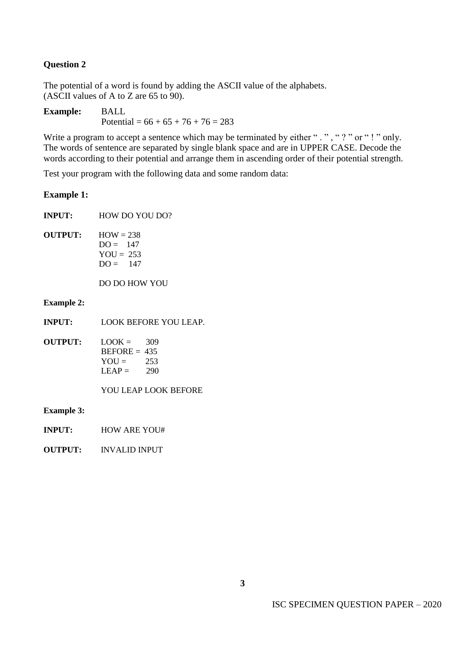# **Question 2**

The potential of a word is found by adding the ASCII value of the alphabets. (ASCII values of A to Z are 65 to 90).

**Example:** BALL Potential =  $66 + 65 + 76 + 76 = 283$ 

Write a program to accept a sentence which may be terminated by either ". ", "? " or "! " only. The words of sentence are separated by single blank space and are in UPPER CASE. Decode the words according to their potential and arrange them in ascending order of their potential strength.

Test your program with the following data and some random data:

#### **Example 1:**

**INPUT:** HOW DO YOU DO?

**OUTPUT:**  $HOW = 238$  $DO = 147$  $\text{YOU} = 253$  $DO = 147$ 

DO DO HOW YOU

#### **Example 2:**

- **INPUT:** LOOK BEFORE YOU LEAP.
- **OUTPUT:**  $\text{LOOK} = 309$  $BEFORE = 435$  $YOU = 253$  $LEAP = 290$

YOU LEAP LOOK BEFORE

#### **Example 3:**

- **INPUT:** HOW ARE YOU#
- **OUTPUT:** INVALID INPUT